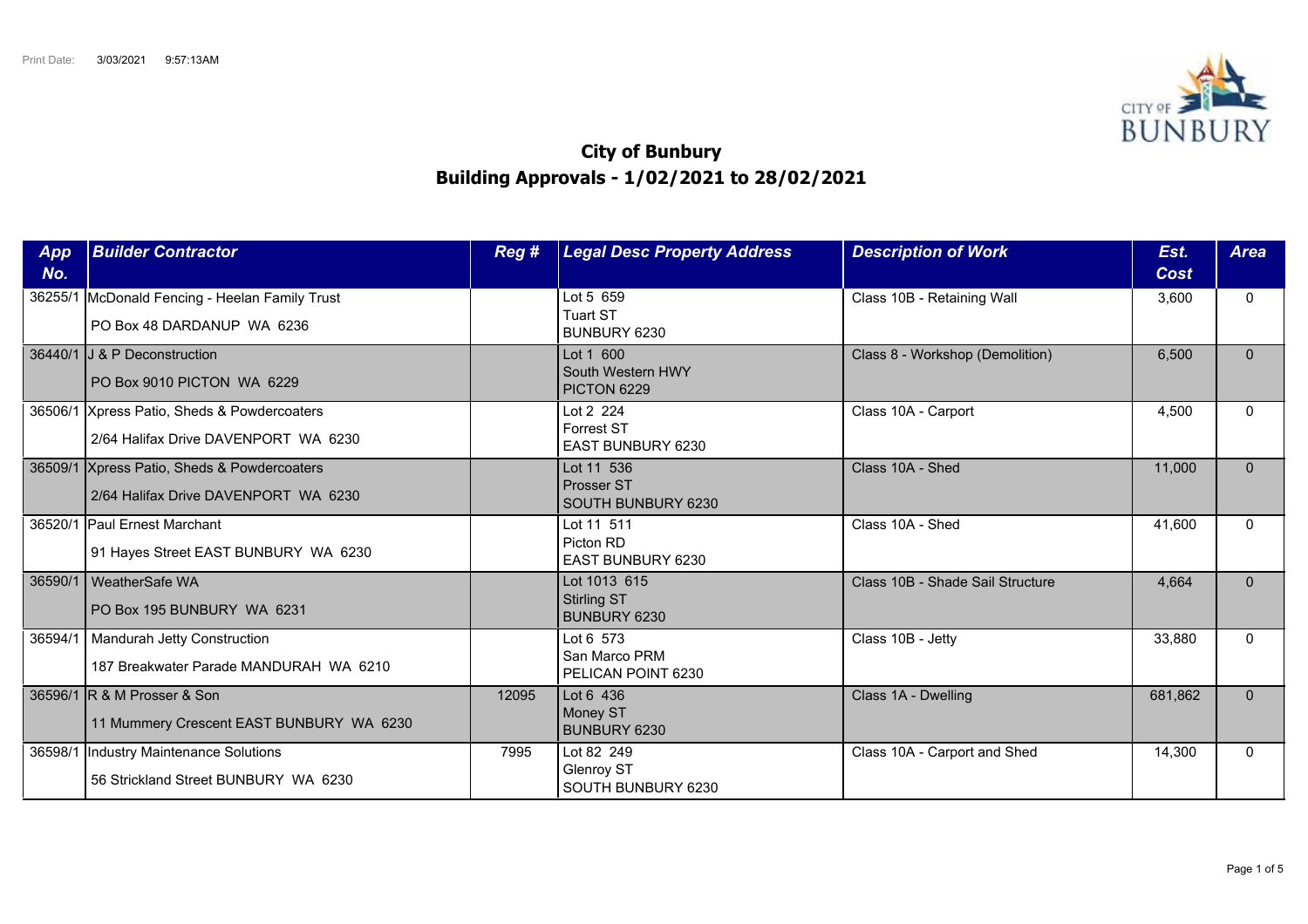

## **City of Bunbury Building Approvals - 1/02/2021 to 28/02/2021**

| App<br>No. | <b>Builder Contractor</b>                                                           | Reg#  | <b>Legal Desc Property Address</b>                         | <b>Description of Work</b>       | Est.<br>Cost | <b>Area</b>  |
|------------|-------------------------------------------------------------------------------------|-------|------------------------------------------------------------|----------------------------------|--------------|--------------|
| 36255/1    | McDonald Fencing - Heelan Family Trust<br>PO Box 48 DARDANUP WA 6236                |       | Lot 5 659<br><b>Tuart ST</b><br>BUNBURY 6230               | Class 10B - Retaining Wall       | 3,600        | $\mathbf{0}$ |
|            | 36440/1 J & P Deconstruction<br>PO Box 9010 PICTON WA 6229                          |       | Lot 1 600<br>South Western HWY<br>PICTON 6229              | Class 8 - Workshop (Demolition)  | 6,500        | $\mathbf{0}$ |
| 36506/1    | Xpress Patio, Sheds & Powdercoaters<br>2/64 Halifax Drive DAVENPORT WA 6230         |       | Lot 2 224<br><b>Forrest ST</b><br><b>EAST BUNBURY 6230</b> | Class 10A - Carport              | 4,500        | $\Omega$     |
|            | 36509/1 Xpress Patio, Sheds & Powdercoaters<br>2/64 Halifax Drive DAVENPORT WA 6230 |       | Lot 11 536<br>Prosser ST<br>SOUTH BUNBURY 6230             | Class 10A - Shed                 | 11.000       | $\Omega$     |
| 36520/1    | <b>IPaul Ernest Marchant</b><br>91 Hayes Street EAST BUNBURY WA 6230                |       | Lot 11 511<br>Picton RD<br>EAST BUNBURY 6230               | Class 10A - Shed                 | 41,600       | $\Omega$     |
| 36590/1    | WeatherSafe WA<br>PO Box 195 BUNBURY WA 6231                                        |       | Lot 1013 615<br><b>Stirling ST</b><br>BUNBURY 6230         | Class 10B - Shade Sail Structure | 4,664        | $\mathbf{0}$ |
| 36594/1    | Mandurah Jetty Construction<br>187 Breakwater Parade MANDURAH WA 6210               |       | Lot 6 573<br>San Marco PRM<br>PELICAN POINT 6230           | Class 10B - Jetty                | 33,880       | $\Omega$     |
|            | 36596/1 R & M Prosser & Son<br>11 Mummery Crescent EAST BUNBURY WA 6230             | 12095 | Lot 6 436<br>Money ST<br><b>BUNBURY 6230</b>               | Class 1A - Dwelling              | 681,862      | $\Omega$     |
| 36598/1    | Industry Maintenance Solutions<br>56 Strickland Street BUNBURY WA 6230              | 7995  | Lot 82 249<br>Glenroy ST<br>SOUTH BUNBURY 6230             | Class 10A - Carport and Shed     | 14,300       | $\Omega$     |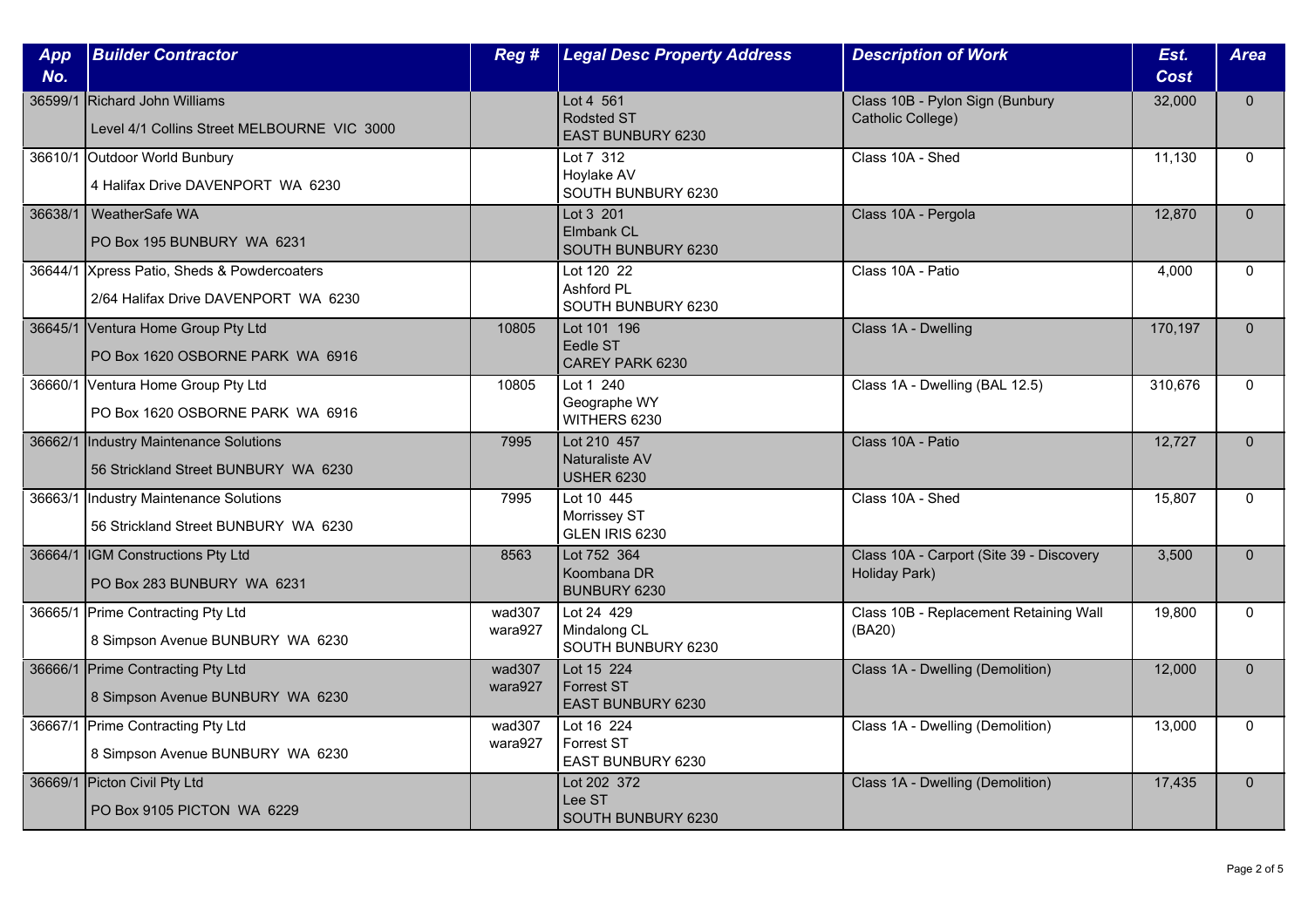| App<br>No. | <b>Builder Contractor</b>                                                           | Reg #             | <b>Legal Desc Property Address</b>                   | <b>Description of Work</b>                                | Est.<br><b>Cost</b> | <b>Area</b>  |
|------------|-------------------------------------------------------------------------------------|-------------------|------------------------------------------------------|-----------------------------------------------------------|---------------------|--------------|
| 36599/1    | Richard John Williams<br>Level 4/1 Collins Street MELBOURNE VIC 3000                |                   | Lot 4 561<br><b>Rodsted ST</b><br>EAST BUNBURY 6230  | Class 10B - Pylon Sign (Bunbury<br>Catholic College)      | 32,000              | $\Omega$     |
|            | 36610/1 Outdoor World Bunbury<br>4 Halifax Drive DAVENPORT WA 6230                  |                   | Lot 7 312<br>Hoylake AV<br>SOUTH BUNBURY 6230        | Class 10A - Shed                                          | 11,130              | $\Omega$     |
| 36638/1    | WeatherSafe WA<br>PO Box 195 BUNBURY WA 6231                                        |                   | Lot 3 201<br><b>Elmbank CL</b><br>SOUTH BUNBURY 6230 | Class 10A - Pergola                                       | 12,870              | $\mathbf{0}$ |
|            | 36644/1 Xpress Patio, Sheds & Powdercoaters<br>2/64 Halifax Drive DAVENPORT WA 6230 |                   | Lot 120 22<br>Ashford PL<br>SOUTH BUNBURY 6230       | Class 10A - Patio                                         | 4,000               | $\Omega$     |
|            | 36645/1 Ventura Home Group Pty Ltd<br>PO Box 1620 OSBORNE PARK WA 6916              | 10805             | Lot 101 196<br>Eedle ST<br>CAREY PARK 6230           | Class 1A - Dwelling                                       | 170,197             | $\Omega$     |
|            | 36660/1 Ventura Home Group Pty Ltd<br>PO Box 1620 OSBORNE PARK WA 6916              | 10805             | Lot 1 240<br>Geographe WY<br>WITHERS 6230            | Class 1A - Dwelling (BAL 12.5)                            | 310,676             | $\Omega$     |
| 36662/1    | Industry Maintenance Solutions<br>56 Strickland Street BUNBURY WA 6230              | 7995              | Lot 210 457<br>Naturaliste AV<br><b>USHER 6230</b>   | Class 10A - Patio                                         | 12,727              | $\mathbf{0}$ |
| 36663/1    | Industry Maintenance Solutions<br>56 Strickland Street BUNBURY WA 6230              | 7995              | Lot 10 445<br>Morrissey ST<br>GLEN IRIS 6230         | Class 10A - Shed                                          | 15,807              | $\Omega$     |
|            | 36664/1  IGM Constructions Pty Ltd<br>PO Box 283 BUNBURY WA 6231                    | 8563              | Lot 752 364<br>Koombana DR<br><b>BUNBURY 6230</b>    | Class 10A - Carport (Site 39 - Discovery<br>Holiday Park) | 3,500               | $\Omega$     |
|            | 36665/1 Prime Contracting Pty Ltd<br>8 Simpson Avenue BUNBURY WA 6230               | wad307<br>wara927 | Lot 24 429<br>Mindalong CL<br>SOUTH BUNBURY 6230     | Class 10B - Replacement Retaining Wall<br>(BA20)          | 19,800              | $\mathbf{0}$ |
|            | 36666/1 Prime Contracting Pty Ltd<br>8 Simpson Avenue BUNBURY WA 6230               | wad307<br>wara927 | Lot 15 224<br><b>Forrest ST</b><br>EAST BUNBURY 6230 | Class 1A - Dwelling (Demolition)                          | 12,000              | $\mathbf{0}$ |
|            | 36667/1 Prime Contracting Pty Ltd<br>8 Simpson Avenue BUNBURY WA 6230               | wad307<br>wara927 | Lot 16 224<br>Forrest ST<br>EAST BUNBURY 6230        | Class 1A - Dwelling (Demolition)                          | 13,000              | $\mathbf{0}$ |
|            | 36669/1 Picton Civil Pty Ltd<br>PO Box 9105 PICTON WA 6229                          |                   | Lot 202 372<br>Lee ST<br>SOUTH BUNBURY 6230          | Class 1A - Dwelling (Demolition)                          | 17,435              | $\mathbf{0}$ |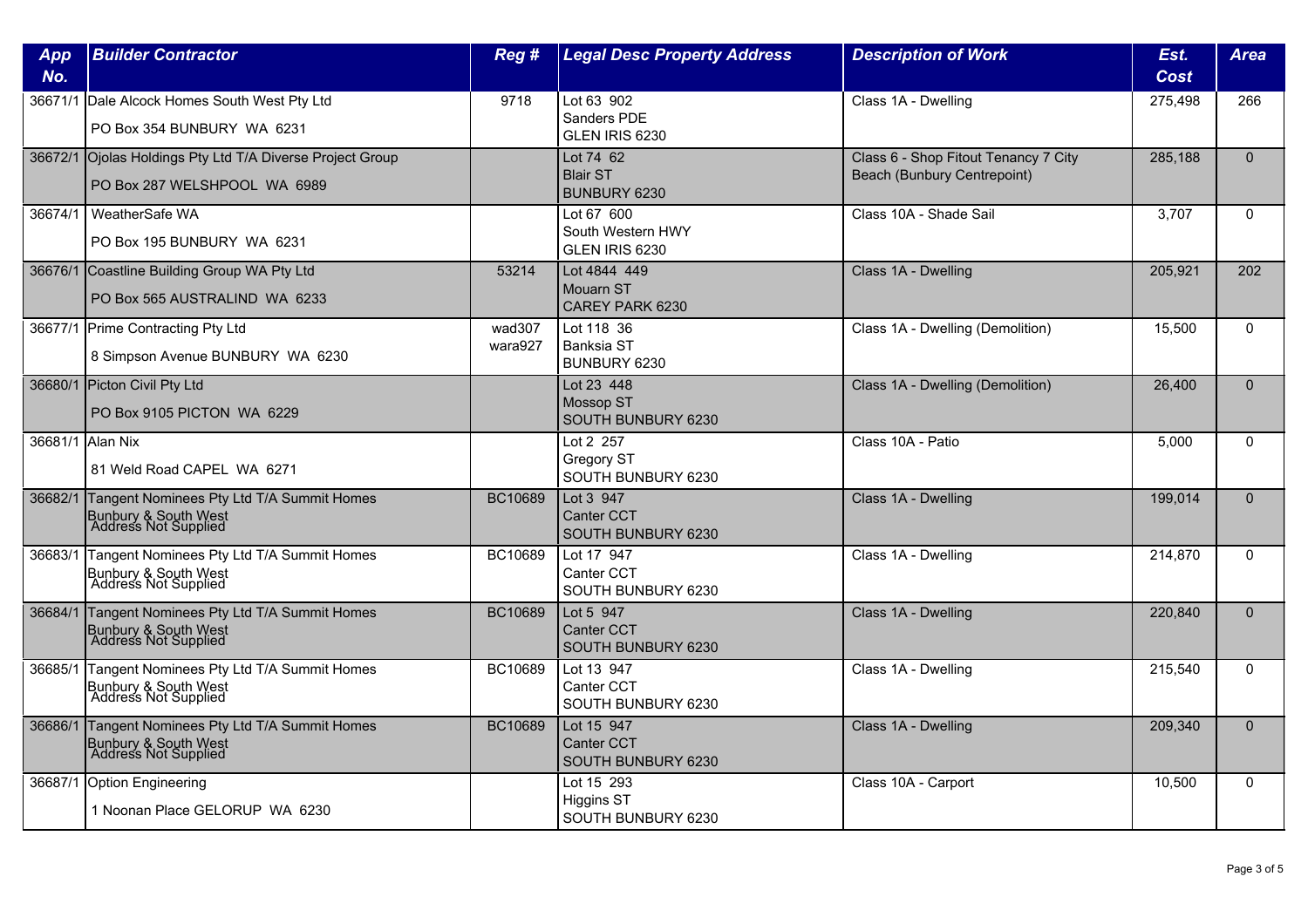| App<br>No.        | <b>Builder Contractor</b>                                                                         | Reg #             | <b>Legal Desc Property Address</b>                    | <b>Description of Work</b>                                          | Est.<br>Cost | <b>Area</b>  |
|-------------------|---------------------------------------------------------------------------------------------------|-------------------|-------------------------------------------------------|---------------------------------------------------------------------|--------------|--------------|
| 36671/1           | Dale Alcock Homes South West Pty Ltd<br>PO Box 354 BUNBURY WA 6231                                | 9718              | Lot 63 902<br>Sanders PDE<br>GLEN IRIS 6230           | Class 1A - Dwelling                                                 | 275,498      | 266          |
|                   | 36672/1 Ojolas Holdings Pty Ltd T/A Diverse Project Group<br>PO Box 287 WELSHPOOL WA 6989         |                   | Lot 74 62<br><b>Blair ST</b><br>BUNBURY 6230          | Class 6 - Shop Fitout Tenancy 7 City<br>Beach (Bunbury Centrepoint) | 285,188      | $\mathbf{0}$ |
| 36674/1           | WeatherSafe WA<br>PO Box 195 BUNBURY WA 6231                                                      |                   | Lot 67 600<br>South Western HWY<br>GLEN IRIS 6230     | Class 10A - Shade Sail                                              | 3,707        | $\mathbf{0}$ |
|                   | 36676/1 Coastline Building Group WA Pty Ltd<br>PO Box 565 AUSTRALIND WA 6233                      | 53214             | Lot 4844 449<br><b>Mouarn ST</b><br>CAREY PARK 6230   | Class 1A - Dwelling                                                 | 205.921      | 202          |
|                   | 36677/1 Prime Contracting Pty Ltd<br>8 Simpson Avenue BUNBURY WA 6230                             | wad307<br>wara927 | Lot 118 36<br><b>Banksia ST</b><br>BUNBURY 6230       | Class 1A - Dwelling (Demolition)                                    | 15,500       | $\Omega$     |
|                   | 36680/1 Picton Civil Pty Ltd<br>PO Box 9105 PICTON WA 6229                                        |                   | Lot 23 448<br><b>Mossop ST</b><br>SOUTH BUNBURY 6230  | Class 1A - Dwelling (Demolition)                                    | 26,400       | $\Omega$     |
| 36681/1 Allan Nix | 81 Weld Road CAPEL WA 6271                                                                        |                   | Lot 2 257<br>Gregory ST<br>SOUTH BUNBURY 6230         | Class 10A - Patio                                                   | 5.000        | $\Omega$     |
| 36682/1           | Tangent Nominees Pty Ltd T/A Summit Homes<br>Bunbury & South West<br>Address Not Supplied         | BC10689           | Lot 3 947<br><b>Canter CCT</b><br>SOUTH BUNBURY 6230  | Class 1A - Dwelling                                                 | 199,014      | $\Omega$     |
| 36683/1           | Tangent Nominees Pty Ltd T/A Summit Homes<br>Bunbury & South West<br>Address Not Supplied         | BC10689           | Lot 17 947<br>Canter CCT<br>SOUTH BUNBURY 6230        | Class 1A - Dwelling                                                 | 214,870      | $\Omega$     |
| 36684/1           | Tangent Nominees Pty Ltd T/A Summit Homes<br>Bunbury & South West<br>Address Not Supplied         | BC10689           | Lot 5 947<br><b>Canter CCT</b><br>SOUTH BUNBURY 6230  | Class 1A - Dwelling                                                 | 220,840      | $\Omega$     |
| 36685/1           | Tangent Nominees Pty Ltd T/A Summit Homes<br>Bunbury & South West<br>Address Not Supplied         | BC10689           | Lot 13 947<br><b>Canter CCT</b><br>SOUTH BUNBURY 6230 | Class 1A - Dwelling                                                 | 215,540      | $\Omega$     |
|                   | 36686/1 Tangent Nominees Pty Ltd T/A Summit Homes<br>Bunbury & South West<br>Address Not Supplied | BC10689           | Lot 15 947<br>Canter CCT<br>SOUTH BUNBURY 6230        | Class 1A - Dwelling                                                 | 209,340      | $\mathbf{0}$ |
| 36687/1           | Option Engineering<br>1 Noonan Place GELORUP WA 6230                                              |                   | Lot 15 293<br><b>Higgins ST</b><br>SOUTH BUNBURY 6230 | Class 10A - Carport                                                 | 10,500       | $\mathbf{0}$ |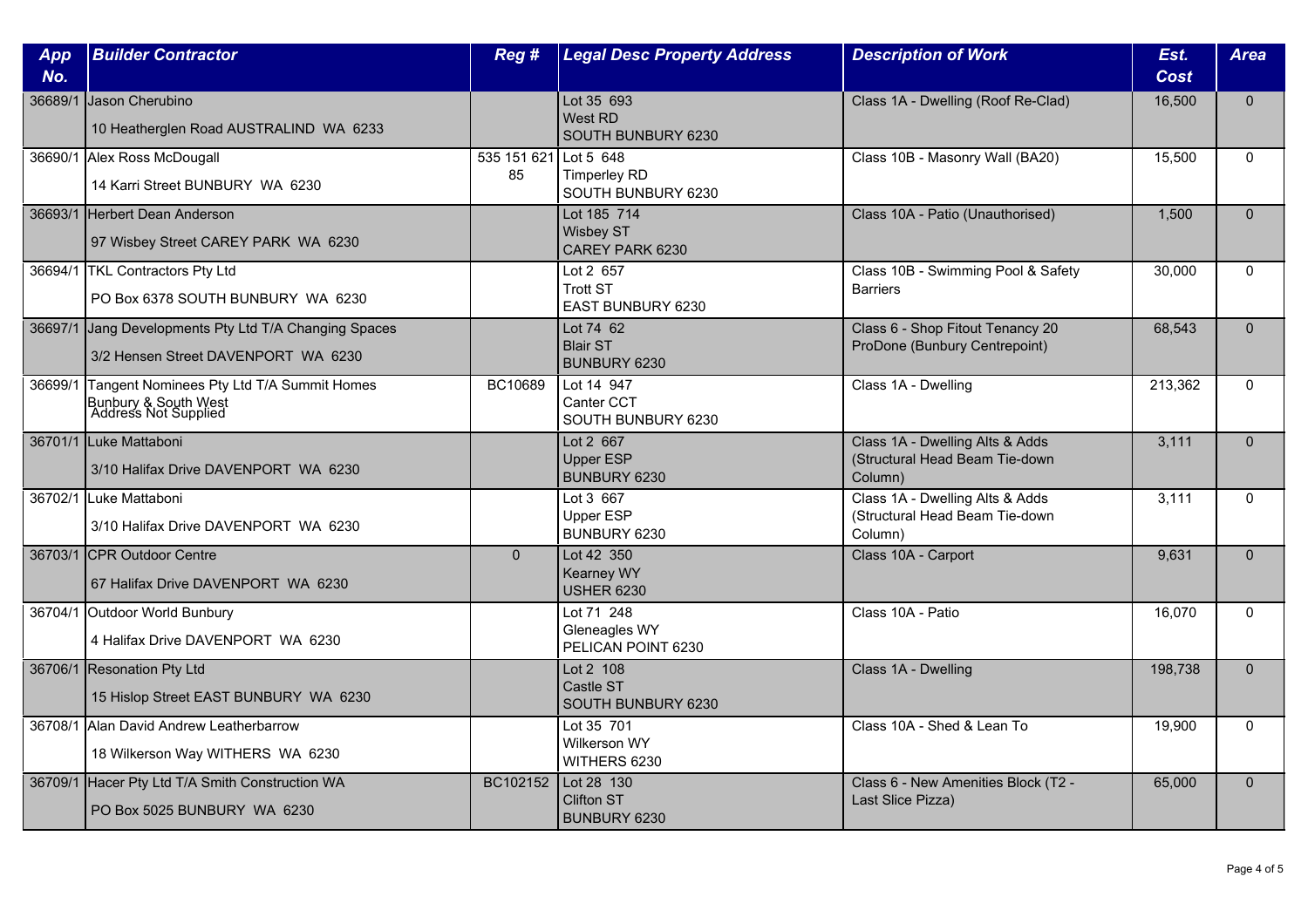| App<br>No. | <b>Builder Contractor</b>                                                                 | Reg#              | <b>Legal Desc Property Address</b>                     | <b>Description of Work</b>                                                   | Est.<br>Cost | <b>Area</b>  |
|------------|-------------------------------------------------------------------------------------------|-------------------|--------------------------------------------------------|------------------------------------------------------------------------------|--------------|--------------|
| 36689/1    | Jason Cherubino<br>10 Heatherglen Road AUSTRALIND WA 6233                                 |                   | Lot 35 693<br>West RD<br>SOUTH BUNBURY 6230            | Class 1A - Dwelling (Roof Re-Clad)                                           | 16,500       | $\mathbf{0}$ |
|            | 36690/1 Alex Ross McDougall<br>14 Karri Street BUNBURY WA 6230                            | 535 151 621<br>85 | Lot 5 648<br><b>Timperley RD</b><br>SOUTH BUNBURY 6230 | Class 10B - Masonry Wall (BA20)                                              | 15.500       | $\Omega$     |
|            | 36693/1 Herbert Dean Anderson<br>97 Wisbey Street CAREY PARK WA 6230                      |                   | Lot 185 714<br>Wisbey ST<br>CAREY PARK 6230            | Class 10A - Patio (Unauthorised)                                             | 1,500        | $\mathbf{0}$ |
|            | 36694/1 TKL Contractors Pty Ltd<br>PO Box 6378 SOUTH BUNBURY WA 6230                      |                   | Lot 2 657<br><b>Trott ST</b><br>EAST BUNBURY 6230      | Class 10B - Swimming Pool & Safety<br><b>Barriers</b>                        | 30,000       | $\Omega$     |
| 36697/1    | Jang Developments Pty Ltd T/A Changing Spaces<br>3/2 Hensen Street DAVENPORT WA 6230      |                   | Lot 74 62<br><b>Blair ST</b><br>BUNBURY 6230           | Class 6 - Shop Fitout Tenancy 20<br>ProDone (Bunbury Centrepoint)            | 68,543       | $\Omega$     |
| 36699/1    | Tangent Nominees Pty Ltd T/A Summit Homes<br>Bunbury & South West<br>Address Not Supplied | BC10689           | Lot 14 947<br>Canter CCT<br>SOUTH BUNBURY 6230         | Class 1A - Dwelling                                                          | 213,362      | $\Omega$     |
|            | 36701/1 Luke Mattaboni<br>3/10 Halifax Drive DAVENPORT WA 6230                            |                   | Lot 2 667<br><b>Upper ESP</b><br>BUNBURY 6230          | Class 1A - Dwelling Alts & Adds<br>(Structural Head Beam Tie-down<br>Column) | 3,111        | $\mathbf{0}$ |
| 36702/1    | Luke Mattaboni<br>3/10 Halifax Drive DAVENPORT WA 6230                                    |                   | Lot 3 667<br><b>Upper ESP</b><br>BUNBURY 6230          | Class 1A - Dwelling Alts & Adds<br>(Structural Head Beam Tie-down<br>Column) | 3.111        | $\mathbf{0}$ |
|            | 36703/1 CPR Outdoor Centre<br>67 Halifax Drive DAVENPORT WA 6230                          | $\overline{0}$    | Lot 42 350<br><b>Kearney WY</b><br><b>USHER 6230</b>   | Class 10A - Carport                                                          | 9,631        | $\Omega$     |
|            | 36704/1 Outdoor World Bunbury<br>4 Halifax Drive DAVENPORT WA 6230                        |                   | Lot 71 248<br>Gleneagles WY<br>PELICAN POINT 6230      | Class 10A - Patio                                                            | 16,070       | $\mathbf{0}$ |
|            | 36706/1 Resonation Pty Ltd<br>15 Hislop Street EAST BUNBURY WA 6230                       |                   | Lot 2 108<br>Castle ST<br>SOUTH BUNBURY 6230           | Class 1A - Dwelling                                                          | 198,738      | $\mathbf{0}$ |
|            | 36708/1 Alan David Andrew Leatherbarrow<br>18 Wilkerson Way WITHERS WA 6230               |                   | Lot 35 701<br>Wilkerson WY<br>WITHERS 6230             | Class 10A - Shed & Lean To                                                   | 19,900       | $\Omega$     |
| 36709/1    | Hacer Pty Ltd T/A Smith Construction WA<br>PO Box 5025 BUNBURY WA 6230                    | BC102152          | Lot 28 130<br><b>Clifton ST</b><br>BUNBURY 6230        | Class 6 - New Amenities Block (T2 -<br>Last Slice Pizza)                     | 65,000       | $\Omega$     |